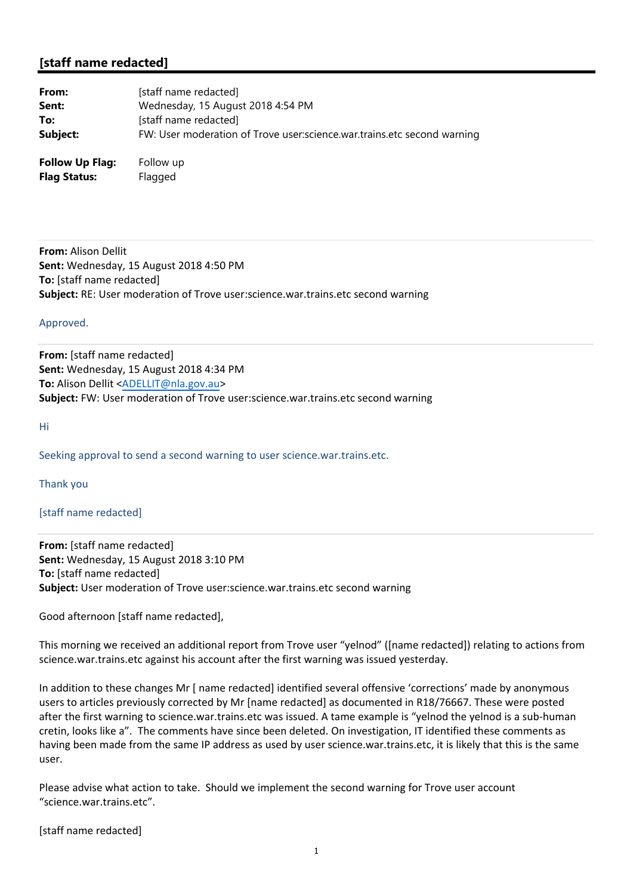## **[staff name redacted]**

| From:                  | [staff name redacted]                                                   |
|------------------------|-------------------------------------------------------------------------|
| Sent:                  | Wednesday, 15 August 2018 4:54 PM                                       |
| To:                    | [staff name redacted]                                                   |
| Subject:               | FW: User moderation of Trove user:science.war.trains.etc second warning |
| <b>Follow Up Flag:</b> | Follow up                                                               |

**Flag Status:** Flagged

**From:** Alison Dellit **Sent:** Wednesday, 15 August 2018 4:50 PM **To:** [staff name redacted] **Subject:** RE: User moderation of Trove user:science.war.trains.etc second warning

## Approved.

**From:** [staff name redacted] **Sent:** Wednesday, 15 August 2018 4:34 PM **To:** Alison Dellit <ADELLIT@nla.gov.au> **Subject:** FW: User moderation of Trove user:science.war.trains.etc second warning

Hi

Seeking approval to send a second warning to user science.war.trains.etc.

Thank you

[staff name redacted]

**From:** [staff name redacted] **Sent:** Wednesday, 15 August 2018 3:10 PM **To:** [staff name redacted] **Subject:** User moderation of Trove user:science.war.trains.etc second warning

Good afternoon [staff name redacted],

This morning we received an additional report from Trove user "yelnod" ([name redacted]) relating to actions from science.war.trains.etc against his account after the first warning was issued yesterday.

In addition to these changes Mr [ name redacted] identified several offensive 'corrections' made by anonymous users to articles previously corrected by Mr [name redacted] as documented in R18/76667. These were posted after the first warning to science.war.trains.etc was issued. A tame example is "yelnod the yelnod is a sub-human cretin, looks like a". The comments have since been deleted. On investigation, IT identified these comments as having been made from the same IP address as used by user science.war.trains.etc, it is likely that this is the same user.

Please advise what action to take. Should we implement the second warning for Trove user account "science.war.trains.etc".

[staff name redacted]